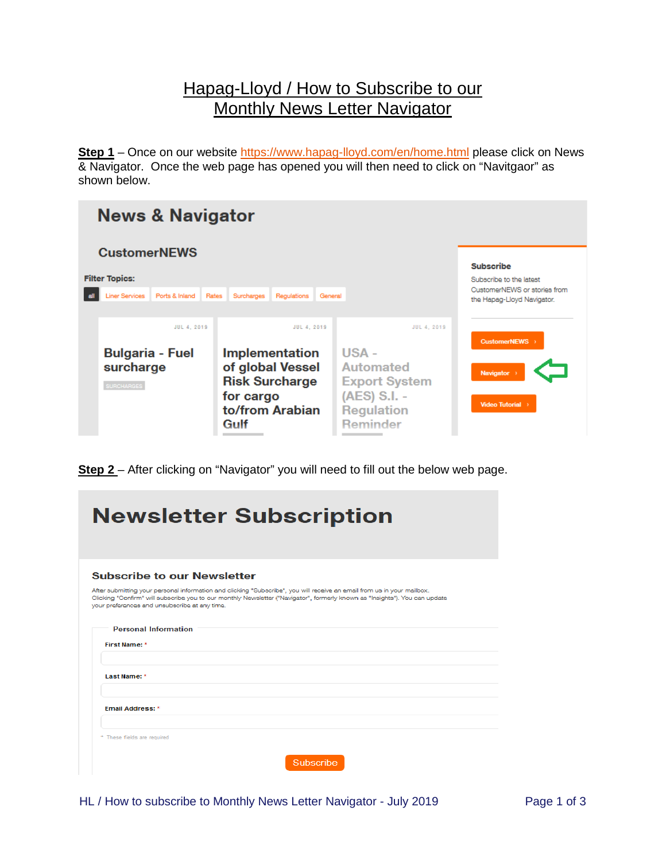## Hapag-Lloyd / How to Subscribe to our Monthly News Letter Navigator

**Step 1** – Once on our website<https://www.hapag-lloyd.com/en/home.html> please click on News & Navigator. Once the web page has opened you will then need to click on "Navitgaor" as shown below.

| <b>News &amp; Navigator</b>                                                             |                                                                                                                           |                                                                                                                          |                                                                                                           |  |  |  |
|-----------------------------------------------------------------------------------------|---------------------------------------------------------------------------------------------------------------------------|--------------------------------------------------------------------------------------------------------------------------|-----------------------------------------------------------------------------------------------------------|--|--|--|
| <b>CustomerNEWS</b><br><b>Filter Topics:</b><br><b>Liner Services</b><br>Ports & Inland | Rates<br>Surcharges<br>Regulations<br>General                                                                             |                                                                                                                          | <b>Subscribe</b><br>Subscribe to the latest<br>CustomerNEWS or stories from<br>the Hapag-Lloyd Navigator. |  |  |  |
| JUL 4, 2019<br><b>Bulgaria - Fuel</b><br>surcharge<br><b>SURCHARGES</b>                 | JUL 4, 2019<br><b>Implementation</b><br>of global Vessel<br><b>Risk Surcharge</b><br>for cargo<br>to/from Arabian<br>Gulf | JUL 4, 2019<br>USA -<br><b>Automated</b><br><b>Export System</b><br>(AES) S.I. -<br><b>Regulation</b><br><b>Reminder</b> | CustomerNEWS ><br>Navigator ><br>Video Tutorial >                                                         |  |  |  |

**Step 2** – After clicking on "Navigator" you will need to fill out the below web page.

| <b>Newsletter Subscription</b>                                                                                                                                                                                                                                                                          |  |  |  |
|---------------------------------------------------------------------------------------------------------------------------------------------------------------------------------------------------------------------------------------------------------------------------------------------------------|--|--|--|
|                                                                                                                                                                                                                                                                                                         |  |  |  |
|                                                                                                                                                                                                                                                                                                         |  |  |  |
| <b>Subscribe to our Newsletter</b>                                                                                                                                                                                                                                                                      |  |  |  |
| After submitting your personal information and clicking "Subscribe", you will receive an email from us in your mailbox.<br>Clicking "Confirm" will subscribe you to our monthly Newsletter ("Navigator", formerly known as "Insights"). You can update<br>your preferences and unsubscribe at any time. |  |  |  |
| <b>Personal Information</b>                                                                                                                                                                                                                                                                             |  |  |  |
| First Name: *                                                                                                                                                                                                                                                                                           |  |  |  |
|                                                                                                                                                                                                                                                                                                         |  |  |  |
| Last Name: *                                                                                                                                                                                                                                                                                            |  |  |  |
| <b>Email Address: *</b>                                                                                                                                                                                                                                                                                 |  |  |  |
|                                                                                                                                                                                                                                                                                                         |  |  |  |
| * These fields are required                                                                                                                                                                                                                                                                             |  |  |  |
| Subscribe                                                                                                                                                                                                                                                                                               |  |  |  |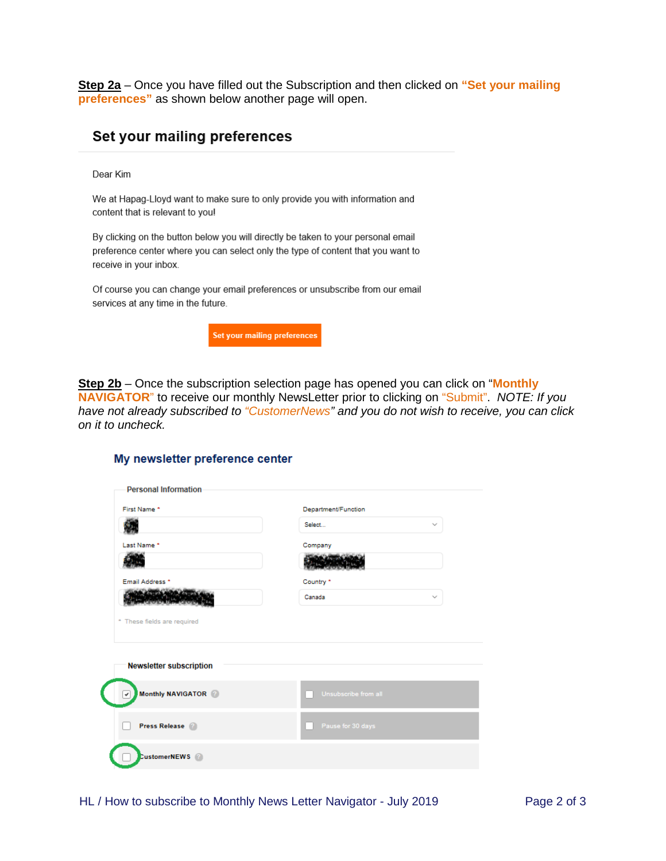**Step 2a** – Once you have filled out the Subscription and then clicked on **"Set your mailing preferences"** as shown below another page will open.

## Set your mailing preferences

Dear Kim

We at Hapag-Lloyd want to make sure to only provide you with information and content that is relevant to you!

By clicking on the button below you will directly be taken to your personal email preference center where you can select only the type of content that you want to receive in your inbox.

Of course you can change your email preferences or unsubscribe from our email services at any time in the future.



**Step 2b** – Once the subscription selection page has opened you can click on "**Monthly NAVIGATOR**" to receive our monthly NewsLetter prior to clicking on "Submit". *NOTE: If you have not already subscribed to "CustomerNews" and you do not wish to receive, you can click on it to uncheck.* 

## My newsletter preference center

| First Name *                   | Department/Function    |  |
|--------------------------------|------------------------|--|
|                                | Select<br>$\checkmark$ |  |
| Last Name *                    | Company                |  |
|                                |                        |  |
| Email Address *                | Country *              |  |
|                                | Canada<br>$\checkmark$ |  |
|                                |                        |  |
| <b>Newsletter subscription</b> |                        |  |
| Monthly NAVIGATOR              | Unsubscribe from all   |  |
| <b>Press Release</b>           | Pause for 30 days      |  |